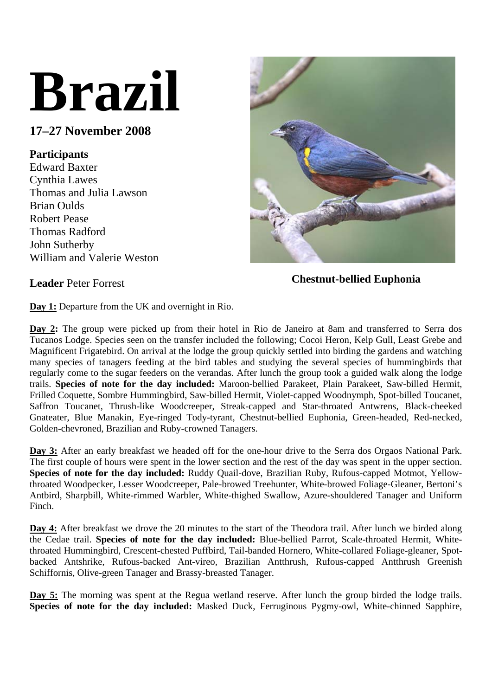# **Brazil**

## **17–27 November 2008**

### **Participants**

Edward Baxter Cynthia Lawes Thomas and Julia Lawson Brian Oulds Robert Pease Thomas Radford John Sutherby William and Valerie Weston



**Leader** Peter Forrest **Chestnut-bellied Euphonia** 

**Day 1:** Departure from the UK and overnight in Rio.

**Day 2:** The group were picked up from their hotel in Rio de Janeiro at 8am and transferred to Serra dos Tucanos Lodge. Species seen on the transfer included the following; Cocoi Heron, Kelp Gull, Least Grebe and Magnificent Frigatebird. On arrival at the lodge the group quickly settled into birding the gardens and watching many species of tanagers feeding at the bird tables and studying the several species of hummingbirds that regularly come to the sugar feeders on the verandas. After lunch the group took a guided walk along the lodge trails. **Species of note for the day included:** Maroon-bellied Parakeet, Plain Parakeet, Saw-billed Hermit, Frilled Coquette, Sombre Hummingbird, Saw-billed Hermit, Violet-capped Woodnymph, Spot-billed Toucanet, Saffron Toucanet, Thrush-like Woodcreeper, Streak-capped and Star-throated Antwrens, Black-cheeked Gnateater, Blue Manakin, Eye-ringed Tody-tyrant, Chestnut-bellied Euphonia, Green-headed, Red-necked, Golden-chevroned, Brazilian and Ruby-crowned Tanagers.

**Day 3:** After an early breakfast we headed off for the one-hour drive to the Serra dos Orgaos National Park. The first couple of hours were spent in the lower section and the rest of the day was spent in the upper section. **Species of note for the day included:** Ruddy Quail-dove, Brazilian Ruby, Rufous-capped Motmot, Yellowthroated Woodpecker, Lesser Woodcreeper, Pale-browed Treehunter, White-browed Foliage-Gleaner, Bertoni's Antbird, Sharpbill, White-rimmed Warbler, White-thighed Swallow, Azure-shouldered Tanager and Uniform Finch.

**Day 4:** After breakfast we drove the 20 minutes to the start of the Theodora trail. After lunch we birded along the Cedae trail. **Species of note for the day included:** Blue-bellied Parrot, Scale-throated Hermit, Whitethroated Hummingbird, Crescent-chested Puffbird, Tail-banded Hornero, White-collared Foliage-gleaner, Spotbacked Antshrike, Rufous-backed Ant-vireo, Brazilian Antthrush, Rufous-capped Antthrush Greenish Schiffornis, Olive-green Tanager and Brassy-breasted Tanager.

**Day 5:** The morning was spent at the Regua wetland reserve. After lunch the group birded the lodge trails. **Species of note for the day included:** Masked Duck, Ferruginous Pygmy-owl, White-chinned Sapphire,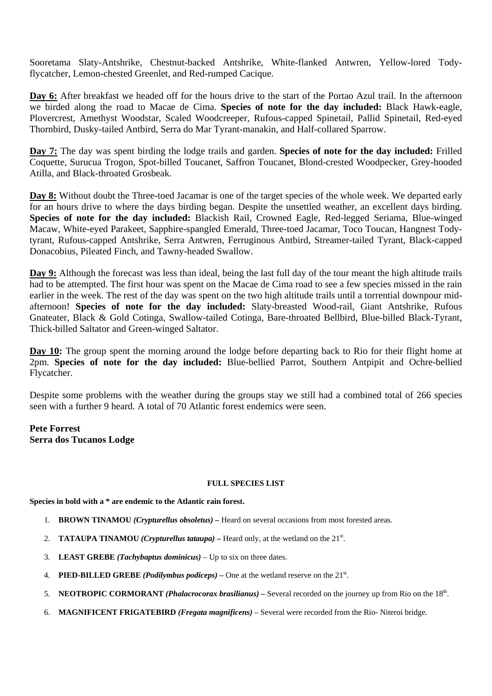Sooretama Slaty-Antshrike, Chestnut-backed Antshrike, White-flanked Antwren, Yellow-lored Todyflycatcher, Lemon-chested Greenlet, and Red-rumped Cacique.

Day 6: After breakfast we headed off for the hours drive to the start of the Portao Azul trail. In the afternoon we birded along the road to Macae de Cima. **Species of note for the day included:** Black Hawk-eagle, Plovercrest, Amethyst Woodstar, Scaled Woodcreeper, Rufous-capped Spinetail, Pallid Spinetail, Red-eyed Thornbird, Dusky-tailed Antbird, Serra do Mar Tyrant-manakin, and Half-collared Sparrow.

**Day 7:** The day was spent birding the lodge trails and garden. **Species of note for the day included:** Frilled Coquette, Surucua Trogon, Spot-billed Toucanet, Saffron Toucanet, Blond-crested Woodpecker, Grey-hooded Atilla, and Black-throated Grosbeak.

**Day 8:** Without doubt the Three-toed Jacamar is one of the target species of the whole week. We departed early for an hours drive to where the days birding began. Despite the unsettled weather, an excellent days birding. **Species of note for the day included:** Blackish Rail, Crowned Eagle, Red-legged Seriama, Blue-winged Macaw, White-eyed Parakeet, Sapphire-spangled Emerald, Three-toed Jacamar, Toco Toucan, Hangnest Todytyrant, Rufous-capped Antshrike, Serra Antwren, Ferruginous Antbird, Streamer-tailed Tyrant, Black-capped Donacobius, Pileated Finch, and Tawny-headed Swallow.

**Day 9:** Although the forecast was less than ideal, being the last full day of the tour meant the high altitude trails had to be attempted. The first hour was spent on the Macae de Cima road to see a few species missed in the rain earlier in the week. The rest of the day was spent on the two high altitude trails until a torrential downpour midafternoon! **Species of note for the day included:** Slaty-breasted Wood-rail, Giant Antshrike, Rufous Gnateater, Black & Gold Cotinga, Swallow-tailed Cotinga, Bare-throated Bellbird, Blue-billed Black-Tyrant, Thick-billed Saltator and Green-winged Saltator.

**Day 10:** The group spent the morning around the lodge before departing back to Rio for their flight home at 2pm. **Species of note for the day included:** Blue-bellied Parrot, Southern Antpipit and Ochre-bellied Flycatcher.

Despite some problems with the weather during the groups stay we still had a combined total of 266 species seen with a further 9 heard. A total of 70 Atlantic forest endemics were seen.

**Pete Forrest Serra dos Tucanos Lodge** 

#### **FULL SPECIES LIST**

**Species in bold with a \* are endemic to the Atlantic rain forest.** 

- 1. **BROWN TINAMOU** *(Crypturellus obsoletus)* Heard on several occasions from most forested areas.
- 2. **TATAUPA TINAMOU** *(Crypturellus tataupa)* Heard only, at the wetland on the  $21^{st}$ .
- 3. **LEAST GREBE** *(Tachybaptus dominicus)* Up to six on three dates.
- 4. **PIED-BILLED GREBE** *(Podilymbus podiceps)* One at the wetland reserve on the  $21<sup>st</sup>$ .
- 5. **NEOTROPIC CORMORANT** *(Phalacrocorax brasilianus)* Several recorded on the journey up from Rio on the 18th.
- 6. **MAGNIFICENT FRIGATEBIRD** *(Fregata magnificens)* Several were recorded from the Rio- Niteroi bridge.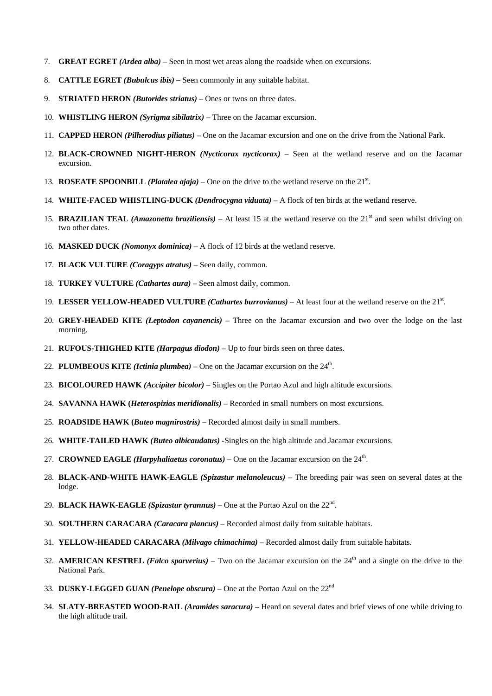- 7. **GREAT EGRET** *(Ardea alba)* Seen in most wet areas along the roadside when on excursions.
- 8. **CATTLE EGRET** *(Bubulcus ibis)* Seen commonly in any suitable habitat.
- 9. **STRIATED HERON** *(Butorides striatus)* Ones or twos on three dates.
- 10. **WHISTLING HERON** *(Syrigma sibilatrix)* Three on the Jacamar excursion.
- 11. **CAPPED HERON** *(Pilherodius piliatus)* One on the Jacamar excursion and one on the drive from the National Park.
- 12. **BLACK-CROWNED NIGHT-HERON** *(Nycticorax nycticorax)* Seen at the wetland reserve and on the Jacamar excursion.
- 13. **ROSEATE SPOONBILL** *(Platalea ajaja)* One on the drive to the wetland reserve on the  $21<sup>st</sup>$ .
- 14. **WHITE-FACED WHISTLING-DUCK** *(Dendrocygna viduata)* A flock of ten birds at the wetland reserve.
- 15. **BRAZILIAN TEAL** *(Amazonetta braziliensis)* At least 15 at the wetland reserve on the 21<sup>st</sup> and seen whilst driving on two other dates.
- 16. **MASKED DUCK** *(Nomonyx dominica)* A flock of 12 birds at the wetland reserve.
- 17. **BLACK VULTURE** *(Coragyps atratus)* Seen daily, common.
- 18. **TURKEY VULTURE** *(Cathartes aura)* Seen almost daily, common.
- 19. LESSER YELLOW-HEADED VULTURE *(Cathartes burrovianus)* At least four at the wetland reserve on the 21<sup>st</sup>.
- 20. **GREY-HEADED KITE** *(Leptodon cayanencis)* Three on the Jacamar excursion and two over the lodge on the last morning.
- 21. **RUFOUS-THIGHED KITE** *(Harpagus diodon)* Up to four birds seen on three dates.
- 22. **PLUMBEOUS KITE** *(Ictinia plumbea)* One on the Jacamar excursion on the  $24<sup>th</sup>$ .
- 23. **BICOLOURED HAWK** *(Accipiter bicolor)* Singles on the Portao Azul and high altitude excursions.
- 24. **SAVANNA HAWK (***Heterospizias meridionalis)* Recorded in small numbers on most excursions.
- 25. **ROADSIDE HAWK (***Buteo magnirostris)* Recorded almost daily in small numbers.
- 26. **WHITE-TAILED HAWK** *(Buteo albicaudatus)* -Singles on the high altitude and Jacamar excursions.
- 27. **CROWNED EAGLE** *(Harpyhaliaetus coronatus)* One on the Jacamar excursion on the 24th.
- 28. **BLACK-AND-WHITE HAWK-EAGLE** *(Spizastur melanoleucus)* The breeding pair was seen on several dates at the lodge.
- 29. **BLACK HAWK-EAGLE** *(Spizastur tyrannus)* One at the Portao Azul on the 22nd.
- 30. **SOUTHERN CARACARA** *(Caracara plancus)* Recorded almost daily from suitable habitats.
- 31. **YELLOW-HEADED CARACARA** *(Milvago chimachima)* Recorded almost daily from suitable habitats.
- 32. **AMERICAN KESTREL** *(Falco sparverius)* Two on the Jacamar excursion on the  $24<sup>th</sup>$  and a single on the drive to the National Park.
- 33. **DUSKY-LEGGED GUAN** *(Penelope obscura)* One at the Portao Azul on the 22nd
- 34. **SLATY-BREASTED WOOD-RAIL** *(Aramides saracura)*Heard on several dates and brief views of one while driving to the high altitude trail.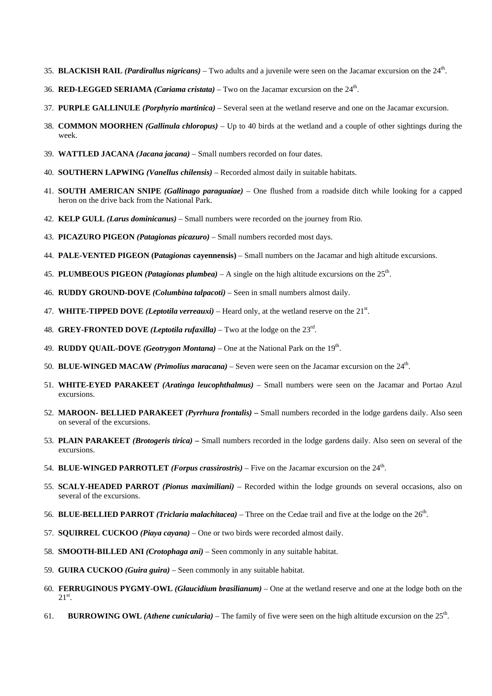- 35. **BLACKISH RAIL** *(Pardirallus nigricans)* Two adults and a juvenile were seen on the Jacamar excursion on the 24th.
- 36. **RED-LEGGED SERIAMA** *(Cariama cristata)* Two on the Jacamar excursion on the 24th.
- 37. **PURPLE GALLINULE** *(Porphyrio martinica)* Several seen at the wetland reserve and one on the Jacamar excursion.
- 38. **COMMON MOORHEN** *(Gallinula chloropus)* Up to 40 birds at the wetland and a couple of other sightings during the week.
- 39. **WATTLED JACANA** *(Jacana jacana)* Small numbers recorded on four dates.
- 40. **SOUTHERN LAPWING** *(Vanellus chilensis)* Recorded almost daily in suitable habitats.
- 41. **SOUTH AMERICAN SNIPE** *(Gallinago paraguaiae)* One flushed from a roadside ditch while looking for a capped heron on the drive back from the National Park.
- 42. **KELP GULL** *(Larus dominicanus)* Small numbers were recorded on the journey from Rio.
- 43. **PICAZURO PIGEON** *(Patagionas picazuro)* Small numbers recorded most days.
- 44. **PALE-VENTED PIGEON (P***atagionas* **cayennensis)** Small numbers on the Jacamar and high altitude excursions.
- 45. **PLUMBEOUS PIGEON** *(Patagionas plumbea)* A single on the high altitude excursions on the 25th.
- 46. **RUDDY GROUND-DOVE** *(Columbina talpacoti)* Seen in small numbers almost daily.
- 47. **WHITE-TIPPED DOVE** *(Leptotila verreauxi)* Heard only, at the wetland reserve on the  $21<sup>st</sup>$ .
- 48. **GREY-FRONTED DOVE** *(Leptotila rufaxilla)* Two at the lodge on the 23rd.
- 49. **RUDDY QUAIL-DOVE** *(Geotrygon Montana)* One at the National Park on the 19th.
- 50. **BLUE-WINGED MACAW** *(Primolius maracana)* Seven were seen on the Jacamar excursion on the 24th.
- 51. **WHITE-EYED PARAKEET** *(Aratinga leucophthalmus)* Small numbers were seen on the Jacamar and Portao Azul excursions.
- 52. **MAROON- BELLIED PARAKEET** *(Pyrrhura frontalis)*Small numbers recorded in the lodge gardens daily. Also seen on several of the excursions.
- 53. **PLAIN PARAKEET** *(Brotogeris tirica)* Small numbers recorded in the lodge gardens daily. Also seen on several of the excursions.
- 54. **BLUE-WINGED PARROTLET** *(Forpus crassirostris)* Five on the Jacamar excursion on the 24<sup>th</sup>.
- 55. **SCALY-HEADED PARROT** *(Pionus maximiliani)* Recorded within the lodge grounds on several occasions, also on several of the excursions.
- 56. **BLUE-BELLIED PARROT** *(Triclaria malachitacea)* Three on the Cedae trail and five at the lodge on the 26th.
- 57. **SQUIRREL CUCKOO** *(Piaya cayana)* One or two birds were recorded almost daily.
- 58. **SMOOTH-BILLED ANI** *(Crotophaga ani)* Seen commonly in any suitable habitat.
- 59. **GUIRA CUCKOO** *(Guira guira)* Seen commonly in any suitable habitat.
- 60. **FERRUGINOUS PYGMY-OWL** *(Glaucidium brasilianum)* One at the wetland reserve and one at the lodge both on the  $21^{\rm st}$ .
- 61. **BURROWING OWL** (*Athene cunicularia*) The family of five were seen on the high altitude excursion on the  $25<sup>th</sup>$ .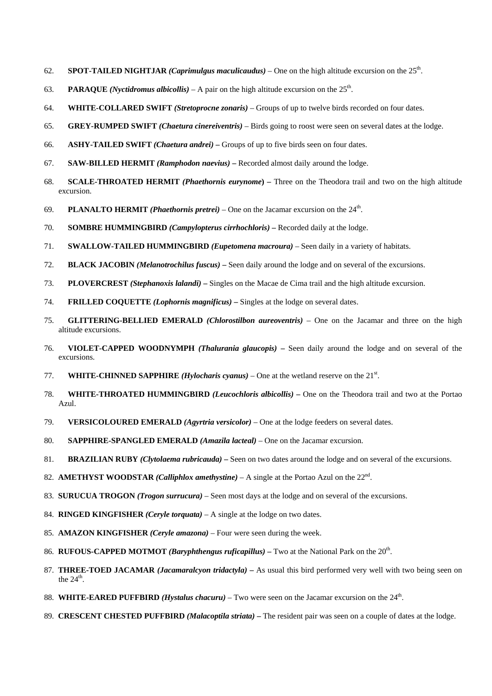- 62. **SPOT-TAILED NIGHTJAR** *(Caprimulgus maculicaudus)* One on the high altitude excursion on the  $25<sup>th</sup>$ .
- 63. **PARAQUE** *(Nyctidromus albicollis)* A pair on the high altitude excursion on the  $25<sup>th</sup>$ .
- 64. **WHITE-COLLARED SWIFT** *(Stretoprocne zonaris)* Groups of up to twelve birds recorded on four dates.
- 65. **GREY-RUMPED SWIFT** *(Chaetura cinereiventris)* Birds going to roost were seen on several dates at the lodge.
- 66. **ASHY-TAILED SWIFT** *(Chaetura andrei)*Groups of up to five birds seen on four dates.
- 67. **SAW-BILLED HERMIT** *(Ramphodon naevius)*Recorded almost daily around the lodge.
- 68. **SCALE-THROATED HERMIT** *(Phaethornis eurynome***)** Three on the Theodora trail and two on the high altitude excursion.
- 69. **PLANALTO HERMIT** *(Phaethornis pretrei)* One on the Jacamar excursion on the  $24<sup>th</sup>$ .
- 70. **SOMBRE HUMMINGBIRD** *(Campylopterus cirrhochloris)*Recorded daily at the lodge.
- 71. **SWALLOW-TAILED HUMMINGBIRD** *(Eupetomena macroura)* Seen daily in a variety of habitats.
- 72. **BLACK JACOBIN** *(Melanotrochilus fuscus)*Seen daily around the lodge and on several of the excursions.
- 73. **PLOVERCREST** *(Stephanoxis lalandi)*Singles on the Macae de Cima trail and the high altitude excursion.
- 74. **FRILLED COQUETTE** *(Lophornis magnificus)*Singles at the lodge on several dates.
- 75. **GLITTERING-BELLIED EMERALD** *(Chlorostilbon aureoventris)* One on the Jacamar and three on the high altitude excursions.
- 76. **VIOLET-CAPPED WOODNYMPH** *(Thalurania glaucopis)*Seen daily around the lodge and on several of the excursions.
- 77. **WHITE-CHINNED SAPPHIRE** (*Hylocharis cyanus*) One at the wetland reserve on the  $21<sup>st</sup>$ .
- 78. **WHITE-THROATED HUMMINGBIRD** *(Leucochloris albicollis)* One on the Theodora trail and two at the Portao Azul.
- 79. **VERSICOLOURED EMERALD** *(Agyrtria versicolor)* One at the lodge feeders on several dates.
- 80. **SAPPHIRE-SPANGLED EMERALD** *(Amazila lacteal)* One on the Jacamar excursion.
- 81. **BRAZILIAN RUBY** *(Clytolaema rubricauda)*Seen on two dates around the lodge and on several of the excursions.
- 82. **AMETHYST WOODSTAR** *(Calliphlox amethystine)* A single at the Portao Azul on the 22nd.
- 83. **SURUCUA TROGON** *(Trogon surrucura)* Seen most days at the lodge and on several of the excursions.
- 84. **RINGED KINGFISHER** *(Ceryle torquata)* A single at the lodge on two dates.
- 85. **AMAZON KINGFISHER** *(Ceryle amazona)* Four were seen during the week.
- 86. **RUFOUS-CAPPED MOTMOT** *(Baryphthengus ruficapillus)* Two at the National Park on the 20<sup>th</sup>.
- 87. **THREE-TOED JACAMAR** *(Jacamaralcyon tridactyla)*As usual this bird performed very well with two being seen on the  $24<sup>th</sup>$ .
- 88. WHITE-EARED PUFFBIRD (Hystalus chacuru) Two were seen on the Jacamar excursion on the 24<sup>th</sup>.
- 89. **CRESCENT CHESTED PUFFBIRD** *(Malacoptila striata)*The resident pair was seen on a couple of dates at the lodge.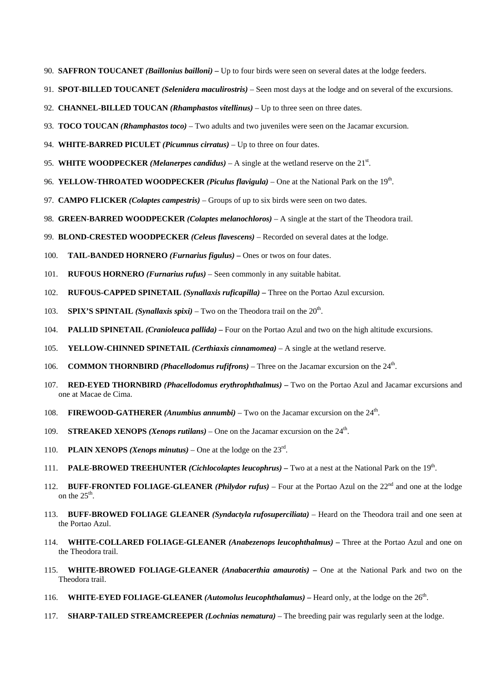- 90. **SAFFRON TOUCANET** *(Baillonius bailloni)*Up to four birds were seen on several dates at the lodge feeders.
- 91. **SPOT-BILLED TOUCANET** *(Selenidera maculirostris)* Seen most days at the lodge and on several of the excursions.
- 92. **CHANNEL-BILLED TOUCAN** *(Rhamphastos vitellinus)* Up to three seen on three dates.
- 93. **TOCO TOUCAN** *(Rhamphastos toco)* Two adults and two juveniles were seen on the Jacamar excursion.
- 94. **WHITE-BARRED PICULET** *(Picumnus cirratus)* Up to three on four dates.
- 95. WHITE WOODPECKER (Melanerpes candidus)  $A$  single at the wetland reserve on the  $21<sup>st</sup>$ .
- 96. **YELLOW-THROATED WOODPECKER** *(Piculus flavigula)* One at the National Park on the 19th.
- 97. **CAMPO FLICKER** *(Colaptes campestris)* Groups of up to six birds were seen on two dates.
- 98. **GREEN-BARRED WOODPECKER** *(Colaptes melanochloros)* A single at the start of the Theodora trail.
- 99. **BLOND-CRESTED WOODPECKER** *(Celeus flavescens)* Recorded on several dates at the lodge.
- 100. **TAIL-BANDED HORNERO** *(Furnarius figulus)*Ones or twos on four dates.
- 101. **RUFOUS HORNERO** *(Furnarius rufus)* Seen commonly in any suitable habitat.
- 102. **RUFOUS-CAPPED SPINETAIL** *(Synallaxis ruficapilla)* Three on the Portao Azul excursion.
- 103. **SPIX'S SPINTAIL** *(Synallaxis spixi)* Two on the Theodora trail on the  $20^{\text{th}}$ .
- 104. **PALLID SPINETAIL** *(Cranioleuca pallida)*Four on the Portao Azul and two on the high altitude excursions.
- 105. **YELLOW-CHINNED SPINETAIL** *(Certhiaxis cinnamomea)* A single at the wetland reserve.
- 106. **COMMON THORNBIRD** *(Phacellodomus rufifrons)* Three on the Jacamar excursion on the 24th.
- 107. **RED-EYED THORNBIRD** *(Phacellodomus erythrophthalmus)*Two on the Portao Azul and Jacamar excursions and one at Macae de Cima.
- 108. **FIREWOOD-GATHERER** *(Anumbius annumbi)* Two on the Jacamar excursion on the 24th.
- 109. **STREAKED XENOPS** *(Xenops rutilans)* One on the Jacamar excursion on the 24th.
- 110. **PLAIN XENOPS** *(Xenops minutus)* One at the lodge on the  $23<sup>rd</sup>$ .
- 111. **PALE-BROWED TREEHUNTER** *(Cichlocolaptes leucophrus)*Two at a nest at the National Park on the 19th.
- 112. **BUFF-FRONTED FOLIAGE-GLEANER** *(Philydor rufus)* Four at the Portao Azul on the 22nd and one at the lodge on the  $25<sup>th</sup>$ .
- 113. **BUFF-BROWED FOLIAGE GLEANER** *(Syndactyla rufosuperciliata)* Heard on the Theodora trail and one seen at the Portao Azul.
- 114. **WHITE-COLLARED FOLIAGE-GLEANER** *(Anabezenops leucophthalmus)* Three at the Portao Azul and one on the Theodora trail.
- 115. **WHITE-BROWED FOLIAGE-GLEANER** *(Anabacerthia amaurotis)*One at the National Park and two on the Theodora trail.
- 116. **WHITE-EYED FOLIAGE-GLEANER** (*Automolus leucophthalamus*) Heard only, at the lodge on the 26<sup>th</sup>.
- 117. **SHARP-TAILED STREAMCREEPER** *(Lochnias nematura)* The breeding pair was regularly seen at the lodge.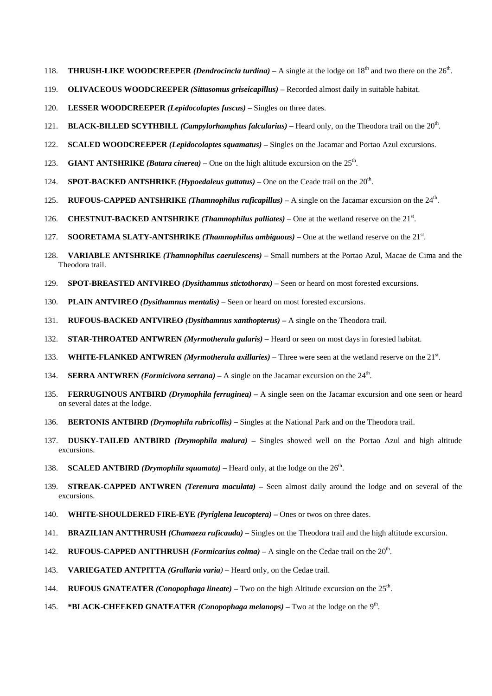- 118. **THRUSH-LIKE WOODCREEPER** *(Dendrocincla turdina)* A single at the lodge on  $18<sup>th</sup>$  and two there on the  $26<sup>th</sup>$ .
- 119. **OLIVACEOUS WOODCREEPER** *(Sittasomus griseicapillus)* Recorded almost daily in suitable habitat.
- 120. **LESSER WOODCREEPER** *(Lepidocolaptes fuscus)*Singles on three dates.
- 121. **BLACK-BILLED SCYTHBILL** *(Campylorhamphus falcularius)*Heard only, on the Theodora trail on the 20th.
- 122. **SCALED WOODCREEPER** *(Lepidocolaptes squamatus)*Singles on the Jacamar and Portao Azul excursions.
- 123. **GIANT ANTSHRIKE** *(Batara cinerea)* One on the high altitude excursion on the  $25<sup>th</sup>$ .
- 124. **SPOT-BACKED ANTSHRIKE** *(Hypoedaleus guttatus)* One on the Ceade trail on the 20th.
- 125. **RUFOUS-CAPPED ANTSHRIKE** *(Thamnophilus ruficapillus)* A single on the Jacamar excursion on the 24th.
- 126. **CHESTNUT-BACKED ANTSHRIKE** *(Thamnophilus palliates)* One at the wetland reserve on the 21<sup>st</sup>.
- 127. **SOORETAMA SLATY-ANTSHRIKE** *(Thamnophilus ambiguous)* One at the wetland reserve on the 21<sup>st</sup>.
- 128. **VARIABLE ANTSHRIKE** *(Thamnophilus caerulescens)* Small numbers at the Portao Azul, Macae de Cima and the Theodora trail.
- 129. **SPOT-BREASTED ANTVIREO** *(Dysithamnus stictothorax)* Seen or heard on most forested excursions.
- 130. **PLAIN ANTVIREO** *(Dysithamnus mentalis)* Seen or heard on most forested excursions.
- 131. **RUFOUS-BACKED ANTVIREO** *(Dysithamnus xanthopterus)*A single on the Theodora trail.
- 132. **STAR-THROATED ANTWREN** *(Myrmotherula gularis)*Heard or seen on most days in forested habitat.
- 133. **WHITE-FLANKED ANTWREN** (*Myrmotherula axillaries*) Three were seen at the wetland reserve on the 21<sup>st</sup>.
- 134. **SERRA ANTWREN** *(Formicivora serrana)*A single on the Jacamar excursion on the 24th.
- 135. **FERRUGINOUS ANTBIRD** *(Drymophila ferruginea)*A single seen on the Jacamar excursion and one seen or heard on several dates at the lodge.
- 136. **BERTONIS ANTBIRD** *(Drymophila rubricollis)* Singles at the National Park and on the Theodora trail.
- 137. **DUSKY-TAILED ANTBIRD** *(Drymophila malura)*Singles showed well on the Portao Azul and high altitude excursions.
- 138. **SCALED ANTBIRD** *(Drymophila squamata)*Heard only, at the lodge on the 26th.
- 139. **STREAK-CAPPED ANTWREN** *(Terenura maculata)*Seen almost daily around the lodge and on several of the excursions.
- 140. **WHITE-SHOULDERED FIRE-EYE** *(Pyriglena leucoptera)* Ones or twos on three dates.
- 141. **BRAZILIAN ANTTHRUSH** *(Chamaeza ruficauda)*Singles on the Theodora trail and the high altitude excursion.
- 142. **RUFOUS-CAPPED ANTTHRUSH** *(Formicarius colma)* A single on the Cedae trail on the 20th.
- 143. **VARIEGATED ANTPITTA** *(Grallaria varia)* Heard only, on the Cedae trail.
- 144. **RUFOUS GNATEATER** *(Conopophaga lineate)*Two on the high Altitude excursion on the 25th.
- 145. **\*BLACK-CHEEKED GNATEATER** *(Conopophaga melanops)*Two at the lodge on the 9th.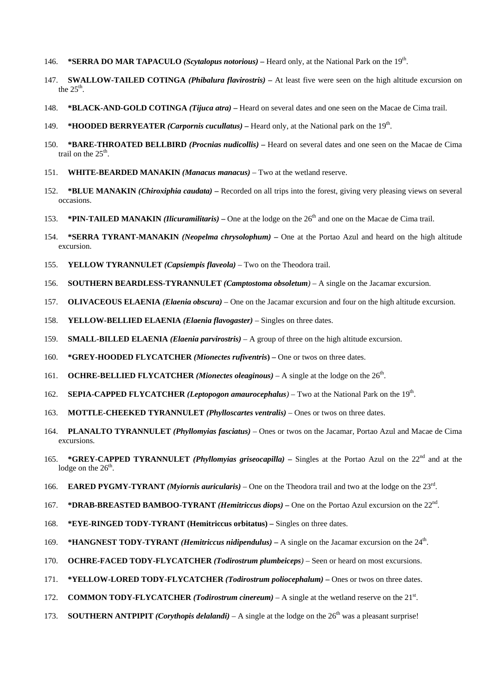- 146. **\*SERRA DO MAR TAPACULO** *(Scytalopus notorious)*Heard only, at the National Park on the 19th.
- 147. **SWALLOW-TAILED COTINGA** *(Phibalura flavirostris)*At least five were seen on the high altitude excursion on the  $25<sup>th</sup>$ .
- 148. **\*BLACK-AND-GOLD COTINGA** *(Tijuca atra)*Heard on several dates and one seen on the Macae de Cima trail.
- 149. **\*HOODED BERRYEATER** *(Carpornis cucullatus)*Heard only, at the National park on the 19th.
- 150. **\*BARE-THROATED BELLBIRD** *(Procnias nudicollis)*Heard on several dates and one seen on the Macae de Cima trail on the  $25<sup>th</sup>$ .
- 151. **WHITE-BEARDED MANAKIN** *(Manacus manacus)* Two at the wetland reserve.
- 152. **\*BLUE MANAKIN** *(Chiroxiphia caudata)*Recorded on all trips into the forest, giving very pleasing views on several occasions.
- 153. **\*PIN-TAILED MANAKIN** *(Ilicuramilitaris)*One at the lodge on the 26th and one on the Macae de Cima trail.
- 154. **\*SERRA TYRANT-MANAKIN** *(Neopelma chrysolophum)*One at the Portao Azul and heard on the high altitude excursion.
- 155. **YELLOW TYRANNULET** *(Capsiempis flaveola)* Two on the Theodora trail.
- 156. **SOUTHERN BEARDLESS-TYRANNULET** *(Camptostoma obsoletum)* A single on the Jacamar excursion.
- 157. **OLIVACEOUS ELAENIA** *(Elaenia obscura)* One on the Jacamar excursion and four on the high altitude excursion.
- 158. **YELLOW-BELLIED ELAENIA** *(Elaenia flavogaster)* Singles on three dates.
- 159. **SMALL-BILLED ELAENIA** *(Elaenia parvirostris)* A group of three on the high altitude excursion.
- 160. **\*GREY-HOODED FLYCATCHER** *(Mionectes rufiventris***)** One or twos on three dates.
- 161. **OCHRE-BELLIED FLYCATCHER** *(Mionectes oleaginous)* A single at the lodge on the 26th.
- 162. **SEPIA-CAPPED FLYCATCHER** *(Leptopogon amaurocephalus)* Two at the National Park on the 19th.
- 163. **MOTTLE-CHEEKED TYRANNULET** *(Phylloscartes ventralis)* Ones or twos on three dates.
- 164. **PLANALTO TYRANNULET** *(Phyllomyias fasciatus)* Ones or twos on the Jacamar, Portao Azul and Macae de Cima excursions.
- 165. **\*GREY-CAPPED TYRANNULET** *(Phyllomyias griseocapilla)*Singles at the Portao Azul on the 22nd and at the lodge on the  $26<sup>th</sup>$ .
- 166. **EARED PYGMY-TYRANT** *(Myiornis auricularis)* One on the Theodora trail and two at the lodge on the 23rd.
- 167. **\*DRAB-BREASTED BAMBOO-TYRANT** *(Hemitriccus diops)*One on the Portao Azul excursion on the 22nd.
- 168. **\*EYE-RINGED TODY-TYRANT (Hemitriccus orbitatus)** Singles on three dates.
- 169. **\*HANGNEST TODY-TYRANT** *(Hemitriccus nidipendulus)* A single on the Jacamar excursion on the 24<sup>th</sup>.
- 170. **OCHRE-FACED TODY-FLYCATCHER** *(Todirostrum plumbeiceps)* Seen or heard on most excursions.
- 171. **\*YELLOW-LORED TODY-FLYCATCHER** *(Todirostrum poliocephalum)*Ones or twos on three dates.
- 172. **COMMON TODY-FLYCATCHER** *(Todirostrum cinereum)* A single at the wetland reserve on the 21<sup>st</sup>.
- 173. **SOUTHERN ANTPIPIT** *(Corythopis delalandi)* A single at the lodge on the  $26<sup>th</sup>$  was a pleasant surprise!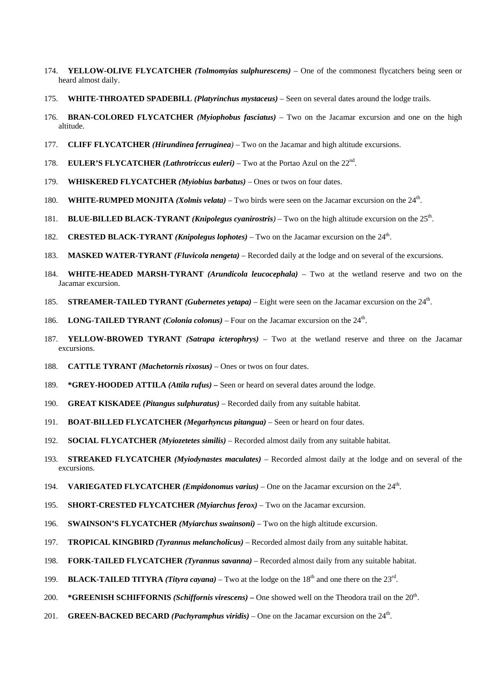- 174. **YELLOW-OLIVE FLYCATCHER** *(Tolmomyias sulphurescens)* One of the commonest flycatchers being seen or heard almost daily.
- 175. **WHITE-THROATED SPADEBILL** *(Platyrinchus mystaceus)* Seen on several dates around the lodge trails.
- 176. **BRAN-COLORED FLYCATCHER** *(Myiophobus fasciatus)* Two on the Jacamar excursion and one on the high altitude.
- 177. **CLIFF FLYCATCHER** *(Hirundinea ferruginea)* Two on the Jacamar and high altitude excursions.
- 178. **EULER'S FLYCATCHER** *(Lathrotriccus euleri)* Two at the Portao Azul on the 22nd.
- 179. **WHISKERED FLYCATCHER** *(Myiobius barbatus)* Ones or twos on four dates.
- 180. **WHITE-RUMPED MONJITA** *(Xolmis velata)* Two birds were seen on the Jacamar excursion on the 24th.
- 181. **BLUE-BILLED BLACK-TYRANT** *(Knipolegus cyanirostris)* Two on the high altitude excursion on the 25<sup>th</sup>.
- 182. **CRESTED BLACK-TYRANT** *(Knipolegus lophotes)* Two on the Jacamar excursion on the 24th.
- 183. **MASKED WATER-TYRANT** *(Fluvicola nengeta)* Recorded daily at the lodge and on several of the excursions.
- 184. **WHITE-HEADED MARSH-TYRANT** *(Arundicola leucocephala)* Two at the wetland reserve and two on the Jacamar excursion.
- 185. **STREAMER-TAILED TYRANT** *(Gubernetes yetapa)* Eight were seen on the Jacamar excursion on the 24th.
- 186. **LONG-TAILED TYRANT** *(Colonia colonus)* Four on the Jacamar excursion on the 24th.
- 187. **YELLOW-BROWED TYRANT** *(Satrapa icterophrys)* Two at the wetland reserve and three on the Jacamar excursions.
- 188. **CATTLE TYRANT** *(Machetornis rixosus)* Ones or twos on four dates.
- 189. **\*GREY-HOODED ATTILA** *(Attila rufus)* Seen or heard on several dates around the lodge.
- 190. **GREAT KISKADEE** *(Pitangus sulphuratus)* Recorded daily from any suitable habitat.
- 191. **BOAT-BILLED FLYCATCHER** *(Megarhyncus pitangua)* Seen or heard on four dates.
- 192. **SOCIAL FLYCATCHER** *(Myiozetetes similis)* Recorded almost daily from any suitable habitat.
- 193. **STREAKED FLYCATCHER** *(Myiodynastes maculates)* Recorded almost daily at the lodge and on several of the excursions.
- 194. **VARIEGATED FLYCATCHER** *(Empidonomus varius)* One on the Jacamar excursion on the 24th.
- 195. **SHORT-CRESTED FLYCATCHER** *(Myiarchus ferox)* Two on the Jacamar excursion.
- 196. **SWAINSON'S FLYCATCHER** *(Myiarchus swainsoni)* Two on the high altitude excursion.
- 197. **TROPICAL KINGBIRD** *(Tyrannus melancholicus)* Recorded almost daily from any suitable habitat.
- 198. **FORK-TAILED FLYCATCHER** *(Tyrannus savanna)* Recorded almost daily from any suitable habitat.
- 199. **BLACK-TAILED TITYRA** *(Tityra cayana)* Two at the lodge on the  $18<sup>th</sup>$  and one there on the  $23<sup>rd</sup>$ .
- 200. **\*GREENISH SCHIFFORNIS** *(Schiffornis virescens)* One showed well on the Theodora trail on the 20<sup>th</sup>.
- 201. **GREEN-BACKED BECARD** *(Pachyramphus viridis)* One on the Jacamar excursion on the 24<sup>th</sup>.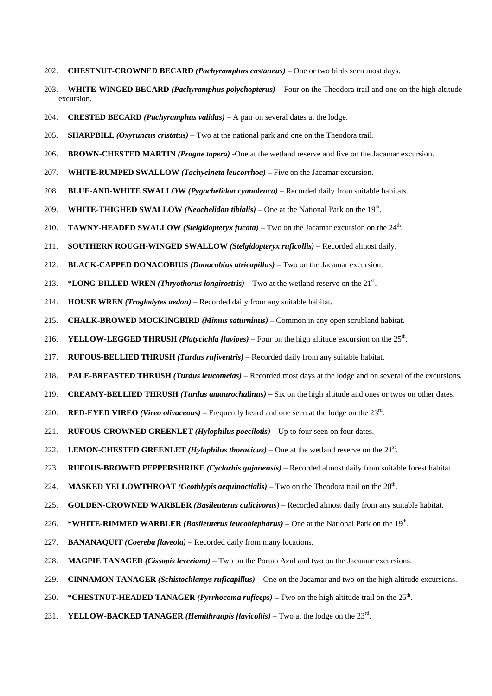- 202. **CHESTNUT-CROWNED BECARD** *(Pachyramphus castaneus)* One or two birds seen most days.
- 203. **WHITE-WINGED BECARD** *(Pachyramphus polychopterus)* Four on the Theodora trail and one on the high altitude excursion.
- 204. **CRESTED BECARD** *(Pachyramphus validus)* A pair on several dates at the lodge.
- 205. **SHARPBILL** *(Oxyruncus cristatus)* Two at the national park and one on the Theodora trail.
- 206. **BROWN-CHESTED MARTIN** *(Progne tapera)* -One at the wetland reserve and five on the Jacamar excursion.
- 207. **WHITE-RUMPED SWALLOW** *(Tachycineta leucorrhoa)* Five on the Jacamar excursion.
- 208. **BLUE-AND-WHITE SWALLOW** *(Pygochelidon cyanoleuca)* Recorded daily from suitable habitats.
- 209. **WHITE-THIGHED SWALLOW** *(Neochelidon tibialis)* One at the National Park on the 19<sup>th</sup>.
- 210. **TAWNY-HEADED SWALLOW** *(Stelgidopteryx fucata)* Two on the Jacamar excursion on the 24<sup>th</sup>.
- 211. **SOUTHERN ROUGH-WINGED SWALLOW** *(Stelgidopteryx ruficollis)* Recorded almost daily.
- 212. **BLACK-CAPPED DONACOBIUS** *(Donacobius atricapillus)* Two on the Jacamar excursion.
- 213. **\*LONG-BILLED WREN** *(Thryothorus longirostris)* Two at the wetland reserve on the  $21<sup>st</sup>$ .
- 214. **HOUSE WREN** *(Troglodytes aedon)* Recorded daily from any suitable habitat.
- 215. **CHALK-BROWED MOCKINGBIRD** *(Mimus saturninus)* Common in any open scrubland habitat.
- 216. **YELLOW-LEGGED THRUSH** *(Platycichla flavipes)* Four on the high altitude excursion on the 25<sup>th</sup>.
- 217. **RUFOUS-BELLIED THRUSH** *(Turdus rufiventris)* Recorded daily from any suitable habitat.
- 218. **PALE-BREASTED THRUSH** *(Turdus leucomelas)* Recorded most days at the lodge and on several of the excursions.
- 219. **CREAMY-BELLIED THRUSH** *(Turdus amaurochalinus)*Six on the high altitude and ones or twos on other dates.
- 220. **RED-EYED VIREO** *(Vireo olivaceous)* Frequently heard and one seen at the lodge on the 23rd.
- 221. **RUFOUS-CROWNED GREENLET** *(Hylophilus poecilotis)* Up to four seen on four dates.
- 222. LEMON-CHESTED GREENLET (*Hylophilus thoracicus*) One at the wetland reserve on the  $21<sup>st</sup>$ .
- 223. **RUFOUS-BROWED PEPPERSHRIKE** *(Cyclarhis gujanensis)* Recorded almost daily from suitable forest habitat.
- 224. **MASKED YELLOWTHROAT** *(Geothlypis aequinoctialis)* Two on the Theodora trail on the  $20^{\text{th}}$ .
- 225. **GOLDEN-CROWNED WARBLER** *(Basileuterus culicivorus)* Recorded almost daily from any suitable habitat.
- 226. **\*WHITE-RIMMED WARBLER** *(Basileuterus leucoblepharus)*One at the National Park on the 19th.
- 227. **BANANAQUIT** *(Coereba flaveola)* Recorded daily from many locations.
- 228. **MAGPIE TANAGER** *(Cissopis leveriana)* Two on the Portao Azul and two on the Jacamar excursions.
- 229. **CINNAMON TANAGER** *(Schistochlamys ruficapillus)* One on the Jacamar and two on the high altitude excursions.
- 230. **\*CHESTNUT-HEADED TANAGER** *(Pyrrhocoma ruficeps)* Two on the high altitude trail on the  $25<sup>th</sup>$ .
- 231. **YELLOW-BACKED TANAGER** *(Hemithraupis flavicollis)* Two at the lodge on the 23rd.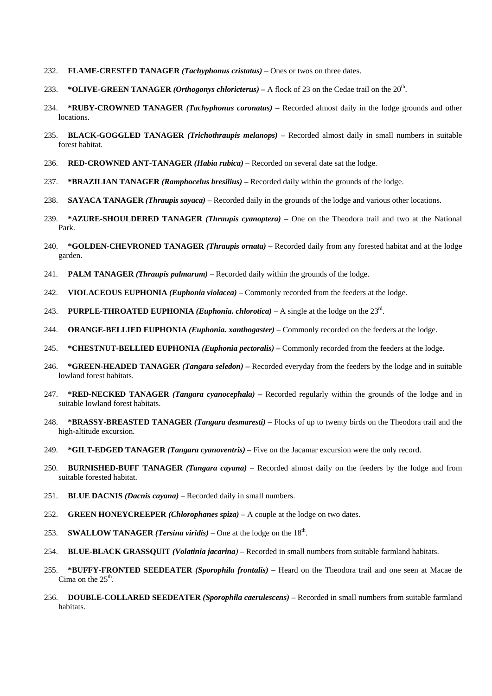- 232. **FLAME-CRESTED TANAGER** *(Tachyphonus cristatus)* Ones or twos on three dates.
- 233. **\*OLIVE-GREEN TANAGER** *(Orthogonys chloricterus)*A flock of 23 on the Cedae trail on the 20th.
- 234. **\*RUBY-CROWNED TANAGER** *(Tachyphonus coronatus)* Recorded almost daily in the lodge grounds and other locations.
- 235. **BLACK-GOGGLED TANAGER** *(Trichothraupis melanops)* Recorded almost daily in small numbers in suitable forest habitat.
- 236. **RED-CROWNED ANT-TANAGER** *(Habia rubica)* Recorded on several date sat the lodge.
- 237. **\*BRAZILIAN TANAGER** *(Ramphocelus bresilius)*Recorded daily within the grounds of the lodge.
- 238. **SAYACA TANAGER** *(Thraupis sayaca)* Recorded daily in the grounds of the lodge and various other locations.
- 239. **\*AZURE-SHOULDERED TANAGER** *(Thraupis cyanoptera)*One on the Theodora trail and two at the National Park.
- 240. **\*GOLDEN-CHEVRONED TANAGER** *(Thraupis ornata)* Recorded daily from any forested habitat and at the lodge garden.
- 241. **PALM TANAGER** *(Thraupis palmarum)* Recorded daily within the grounds of the lodge.
- 242. **VIOLACEOUS EUPHONIA** *(Euphonia violacea)* Commonly recorded from the feeders at the lodge.
- 243. **PURPLE-THROATED EUPHONIA** *(Euphonia. chlorotica)* A single at the lodge on the  $23<sup>rd</sup>$ .
- 244. **ORANGE-BELLIED EUPHONIA** *(Euphonia. xanthogaster)* Commonly recorded on the feeders at the lodge.
- 245. **\*CHESTNUT-BELLIED EUPHONIA** *(Euphonia pectoralis)*Commonly recorded from the feeders at the lodge.
- 246. **\*GREEN-HEADED TANAGER** *(Tangara seledon)* Recorded everyday from the feeders by the lodge and in suitable lowland forest habitats.
- 247. **\*RED-NECKED TANAGER** *(Tangara cyanocephala)*Recorded regularly within the grounds of the lodge and in suitable lowland forest habitats.
- 248. **\*BRASSY-BREASTED TANAGER** *(Tangara desmaresti)*Flocks of up to twenty birds on the Theodora trail and the high-altitude excursion.
- 249. **\*GILT-EDGED TANAGER** *(Tangara cyanoventris)* Five on the Jacamar excursion were the only record.
- 250. **BURNISHED-BUFF TANAGER** *(Tangara cayana)* Recorded almost daily on the feeders by the lodge and from suitable forested habitat.
- 251. **BLUE DACNIS** *(Dacnis cayana)* Recorded daily in small numbers.
- 252. **GREEN HONEYCREEPER** *(Chlorophanes spiza)* A couple at the lodge on two dates.
- 253. **SWALLOW TANAGER** *(Tersina viridis)* One at the lodge on the  $18<sup>th</sup>$ .
- 254. **BLUE-BLACK GRASSQUIT** *(Volatinia jacarina)* Recorded in small numbers from suitable farmland habitats.
- 255. **\*BUFFY-FRONTED SEEDEATER** *(Sporophila frontalis)*Heard on the Theodora trail and one seen at Macae de Cima on the  $25<sup>th</sup>$ .
- 256. **DOUBLE-COLLARED SEEDEATER** *(Sporophila caerulescens)* Recorded in small numbers from suitable farmland habitats.